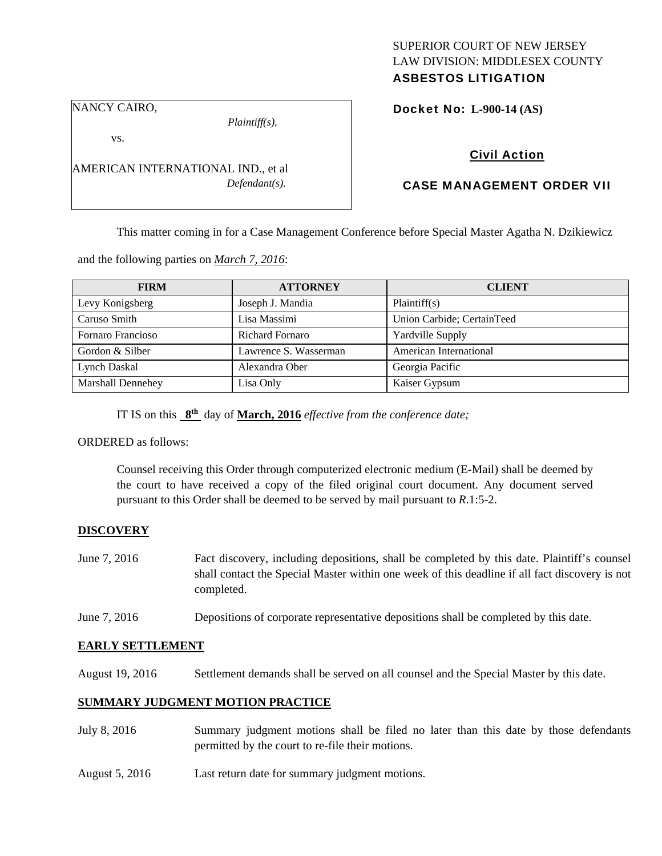# SUPERIOR COURT OF NEW JERSEY LAW DIVISION: MIDDLESEX COUNTY

# ASBESTOS LITIGATION

NANCY CAIRO,

*Plaintiff(s),* 

Docket No: **L-900-14 (AS)** 

vs.

AMERICAN INTERNATIONAL IND., et al *Defendant(s).* 

## Civil Action

### CASE MANAGEMENT ORDER VII

This matter coming in for a Case Management Conference before Special Master Agatha N. Dzikiewicz

and the following parties on *March 7, 2016*:

| <b>FIRM</b>              | <b>ATTORNEY</b>        | <b>CLIENT</b>              |
|--------------------------|------------------------|----------------------------|
| Levy Konigsberg          | Joseph J. Mandia       | Plaintiff(s)               |
| Caruso Smith             | Lisa Massimi           | Union Carbide; CertainTeed |
| Fornaro Francioso        | <b>Richard Fornaro</b> | Yardville Supply           |
| Gordon & Silber          | Lawrence S. Wasserman  | American International     |
| Lynch Daskal             | Alexandra Ober         | Georgia Pacific            |
| <b>Marshall Dennehey</b> | Lisa Only              | Kaiser Gypsum              |

IT IS on this **8th** day of **March, 2016** *effective from the conference date;* 

ORDERED as follows:

Counsel receiving this Order through computerized electronic medium (E-Mail) shall be deemed by the court to have received a copy of the filed original court document. Any document served pursuant to this Order shall be deemed to be served by mail pursuant to *R*.1:5-2.

#### **DISCOVERY**

- June 7, 2016 Fact discovery, including depositions, shall be completed by this date. Plaintiff's counsel shall contact the Special Master within one week of this deadline if all fact discovery is not completed.
- June 7, 2016 Depositions of corporate representative depositions shall be completed by this date.

#### **EARLY SETTLEMENT**

August 19, 2016 Settlement demands shall be served on all counsel and the Special Master by this date.

#### **SUMMARY JUDGMENT MOTION PRACTICE**

- July 8, 2016 Summary judgment motions shall be filed no later than this date by those defendants permitted by the court to re-file their motions.
- August 5, 2016 Last return date for summary judgment motions.